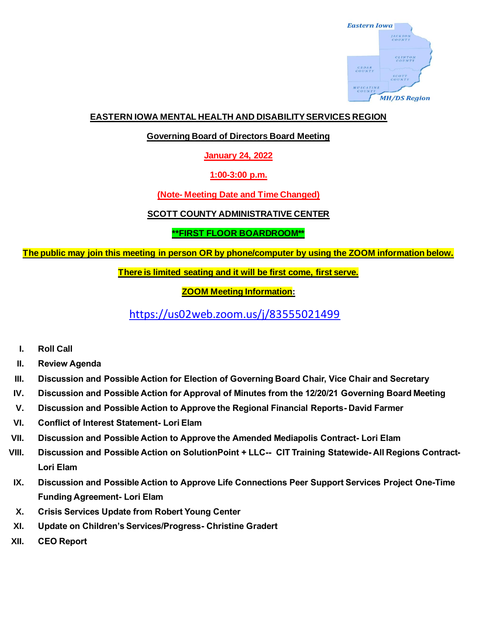

## **EASTERN IOWA MENTAL HEALTH AND DISABILITY SERVICES REGION**

**Governing Board of Directors Board Meeting**

**January 24, 2022**

**1:00-3:00 p.m.**

**(Note- Meeting Date and Time Changed)**

**SCOTT COUNTY ADMINISTRATIVE CENTER**

**\*\*FIRST FLOOR BOARDROOM\*\***

**The public may join this meeting in person OR by phone/computer by using the ZOOM information below.**

**There is limited seating and it will be first come, first serve.**

**ZOOM Meeting Information:**

<https://us02web.zoom.us/j/83555021499>

- **I. Roll Call**
- **II. Review Agenda**
- **III. Discussion and Possible Action for Election of Governing Board Chair, Vice Chair and Secretary**
- **IV. Discussion and Possible Action for Approval of Minutes from the 12/20/21 Governing Board Meeting**
- **V. Discussion and Possible Action to Approve the Regional Financial Reports- David Farmer**
- **VI. Conflict of Interest Statement- Lori Elam**
- **VII. Discussion and Possible Action to Approve the Amended Mediapolis Contract- Lori Elam**
- **VIII. Discussion and Possible Action on SolutionPoint + LLC-- CIT Training Statewide- All Regions Contract-Lori Elam**
- **IX. Discussion and Possible Action to Approve Life Connections Peer Support Services Project One-Time Funding Agreement- Lori Elam**
- **X. Crisis Services Update from Robert Young Center**
- **XI. Update on Children's Services/Progress- Christine Gradert**
- **XII. CEO Report**